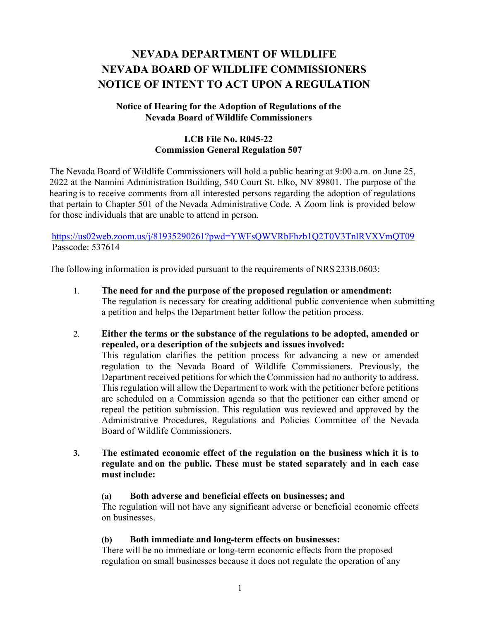# **NEVADA DEPARTMENT OF WILDLIFE NEVADA BOARD OF WILDLIFE COMMISSIONERS NOTICE OF INTENT TO ACT UPON A REGULATION**

# **Notice of Hearing for the Adoption of Regulations of the Nevada Board of Wildlife Commissioners**

# **LCB File No. R045-22 Commission General Regulation 507**

The Nevada Board of Wildlife Commissioners will hold a public hearing at 9:00 a.m. on June 25, 2022 at the Nannini Administration Building, 540 Court St. Elko, NV 89801. The purpose of the hearing is to receive comments from all interested persons regarding the adoption of regulations that pertain to Chapter 501 of the Nevada Administrative Code. A Zoom link is provided below for those individuals that are unable to attend in person.

<https://us02web.zoom.us/j/81935290261?pwd=YWFsQWVRbFhzb1Q2T0V3TnlRVXVmQT09> Passcode: 537614

The following information is provided pursuant to the requirements of NRS 233B.0603:

- 1. **The need for and the purpose of the proposed regulation or amendment:** The regulation is necessary for creating additional public convenience when submitting a petition and helps the Department better follow the petition process.
- 2. **Either the terms or the substance of the regulations to be adopted, amended or repealed, ora description of the subjects and issues involved:** This regulation clarifies the petition process for advancing a new or amended regulation to the Nevada Board of Wildlife Commissioners. Previously, the Department received petitions for which the Commission had no authority to address. This regulation will allow the Department to work with the petitioner before petitions are scheduled on a Commission agenda so that the petitioner can either amend or repeal the petition submission. This regulation was reviewed and approved by the Administrative Procedures, Regulations and Policies Committee of the Nevada Board of Wildlife Commissioners.
- **3. The estimated economic effect of the regulation on the business which it is to regulate and on the public. These must be stated separately and in each case must include:**

# **(a) Both adverse and beneficial effects on businesses; and**

The regulation will not have any significant adverse or beneficial economic effects on businesses.

# **(b) Both immediate and long-term effects on businesses:**

There will be no immediate or long-term economic effects from the proposed regulation on small businesses because it does not regulate the operation of any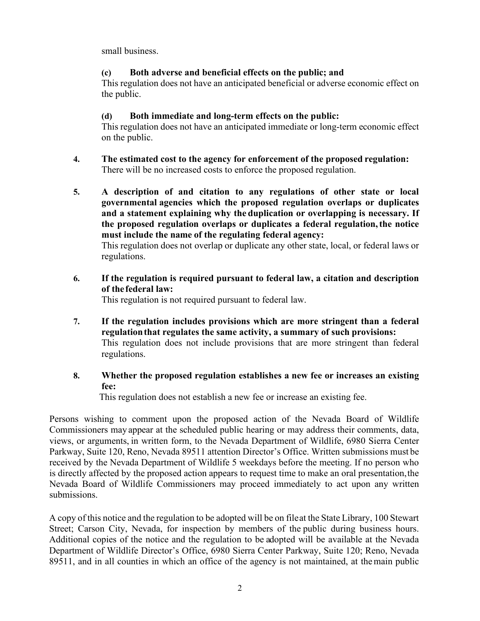small business.

# **(c) Both adverse and beneficial effects on the public; and**

This regulation does not have an anticipated beneficial or adverse economic effect on the public.

# **(d) Both immediate and long-term effects on the public:**

This regulation does not have an anticipated immediate or long-term economic effect on the public.

- **4. The estimated cost to the agency for enforcement of the proposed regulation:** There will be no increased costs to enforce the proposed regulation.
- **5. A description of and citation to any regulations of other state or local governmental agencies which the proposed regulation overlaps or duplicates and a statement explaining why the duplication or overlapping is necessary. If the proposed regulation overlaps or duplicates a federal regulation,the notice must include the name of the regulating federal agency:**

This regulation does not overlap or duplicate any other state, local, or federal laws or regulations.

**6. If the regulation is required pursuant to federal law, a citation and description of the federal law:**

This regulation is not required pursuant to federal law.

- **7. If the regulation includes provisions which are more stringent than a federal regulationthat regulates the same activity, a summary of such provisions:** This regulation does not include provisions that are more stringent than federal regulations.
- **8. Whether the proposed regulation establishes a new fee or increases an existing fee:**

This regulation does not establish a new fee or increase an existing fee.

Persons wishing to comment upon the proposed action of the Nevada Board of Wildlife Commissioners may appear at the scheduled public hearing or may address their comments, data, views, or arguments, in written form, to the Nevada Department of Wildlife, 6980 Sierra Center Parkway, Suite 120, Reno, Nevada 89511 attention Director's Office. Written submissions must be received by the Nevada Department of Wildlife 5 weekdays before the meeting. If no person who is directly affected by the proposed action appears to request time to make an oral presentation,the Nevada Board of Wildlife Commissioners may proceed immediately to act upon any written submissions.

A copy of this notice and the regulation to be adopted will be on fileat the State Library, 100 Stewart Street; Carson City, Nevada, for inspection by members of the public during business hours. Additional copies of the notice and the regulation to be adopted will be available at the Nevada Department of Wildlife Director's Office, 6980 Sierra Center Parkway, Suite 120; Reno, Nevada 89511, and in all counties in which an office of the agency is not maintained, at themain public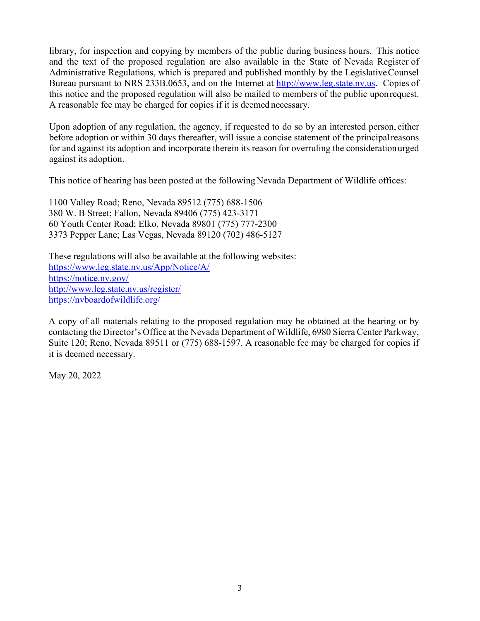library, for inspection and copying by members of the public during business hours. This notice and the text of the proposed regulation are also available in the State of Nevada Register of Administrative Regulations, which is prepared and published monthly by the Legislative Counsel Bureau pursuant to NRS 233B.0653, and on the Internet at [http://www.leg.state.nv.us.](http://www.leg.state.nv.us/) Copies of this notice and the proposed regulation will also be mailed to members of the public uponrequest. A reasonable fee may be charged for copies if it is deemed necessary.

Upon adoption of any regulation, the agency, if requested to do so by an interested person, either before adoption or within 30 days thereafter, will issue a concise statement of the principal reasons for and against its adoption and incorporate therein its reason for overruling the consideration urged against its adoption.

This notice of hearing has been posted at the following Nevada Department of Wildlife offices:

1100 Valley Road; Reno, Nevada 89512 (775) 688-1506 380 W. B Street; Fallon, Nevada 89406 (775) 423-3171 60 Youth Center Road; Elko, Nevada 89801 (775) 777-2300 3373 Pepper Lane; Las Vegas, Nevada 89120 (702) 486-5127

These regulations will also be available at the following websites: <https://www.leg.state.nv.us/App/Notice/A/> <https://notice.nv.gov/> <http://www.leg.state.nv.us/register/> <https://nvboardofwildlife.org/>

A copy of all materials relating to the proposed regulation may be obtained at the hearing or by contacting the Director's Office at the Nevada Department of Wildlife, 6980 Sierra Center Parkway, Suite 120; Reno, Nevada 89511 or (775) 688-1597. A reasonable fee may be charged for copies if it is deemed necessary.

May 20, 2022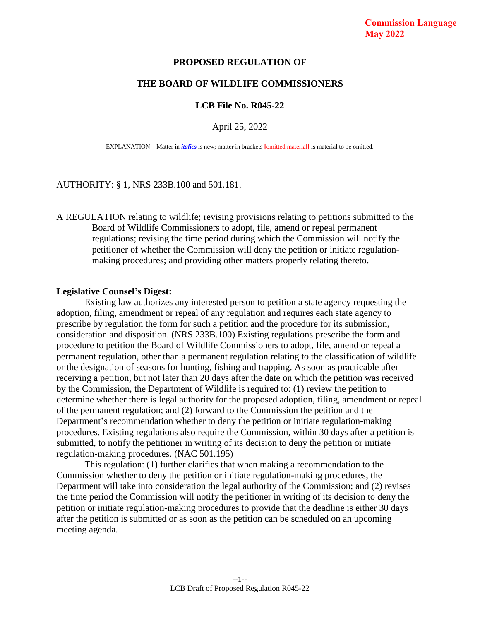# **Commission Language May 2022**

#### **PROPOSED REGULATION OF**

### **THE BOARD OF WILDLIFE COMMISSIONERS**

### **LCB File No. R045-22**

#### April 25, 2022

EXPLANATION – Matter in *italics* is new; matter in brackets **[**omitted material**]** is material to be omitted.

#### AUTHORITY: § 1, NRS 233B.100 and 501.181.

A REGULATION relating to wildlife; revising provisions relating to petitions submitted to the Board of Wildlife Commissioners to adopt, file, amend or repeal permanent regulations; revising the time period during which the Commission will notify the petitioner of whether the Commission will deny the petition or initiate regulationmaking procedures; and providing other matters properly relating thereto.

#### **Legislative Counsel's Digest:**

Existing law authorizes any interested person to petition a state agency requesting the adoption, filing, amendment or repeal of any regulation and requires each state agency to prescribe by regulation the form for such a petition and the procedure for its submission, consideration and disposition. (NRS 233B.100) Existing regulations prescribe the form and procedure to petition the Board of Wildlife Commissioners to adopt, file, amend or repeal a permanent regulation, other than a permanent regulation relating to the classification of wildlife or the designation of seasons for hunting, fishing and trapping. As soon as practicable after receiving a petition, but not later than 20 days after the date on which the petition was received by the Commission, the Department of Wildlife is required to: (1) review the petition to determine whether there is legal authority for the proposed adoption, filing, amendment or repeal of the permanent regulation; and (2) forward to the Commission the petition and the Department's recommendation whether to deny the petition or initiate regulation-making procedures. Existing regulations also require the Commission, within 30 days after a petition is submitted, to notify the petitioner in writing of its decision to deny the petition or initiate regulation-making procedures. (NAC 501.195)

This regulation: (1) further clarifies that when making a recommendation to the Commission whether to deny the petition or initiate regulation-making procedures, the Department will take into consideration the legal authority of the Commission; and (2) revises the time period the Commission will notify the petitioner in writing of its decision to deny the petition or initiate regulation-making procedures to provide that the deadline is either 30 days after the petition is submitted or as soon as the petition can be scheduled on an upcoming meeting agenda.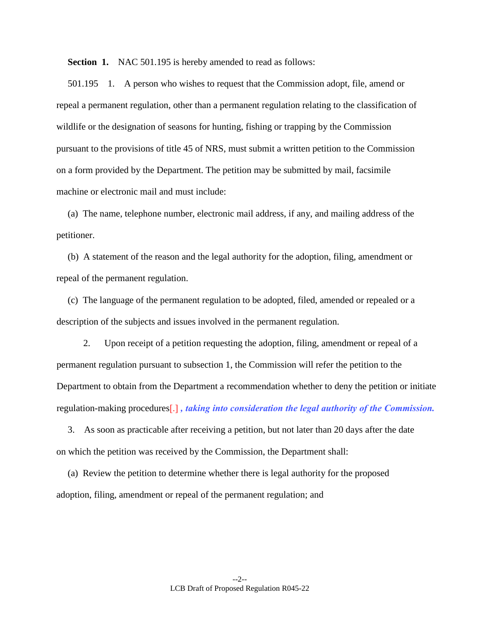**Section 1.** NAC 501.195 is hereby amended to read as follows:

501.195 1. A person who wishes to request that the Commission adopt, file, amend or repeal a permanent regulation, other than a permanent regulation relating to the classification of wildlife or the designation of seasons for hunting, fishing or trapping by the Commission pursuant to the provisions of title 45 of NRS, must submit a written petition to the Commission on a form provided by the Department. The petition may be submitted by mail, facsimile machine or electronic mail and must include:

(a) The name, telephone number, electronic mail address, if any, and mailing address of the petitioner.

(b) A statement of the reason and the legal authority for the adoption, filing, amendment or repeal of the permanent regulation.

(c) The language of the permanent regulation to be adopted, filed, amended or repealed or a description of the subjects and issues involved in the permanent regulation.

2. Upon receipt of a petition requesting the adoption, filing, amendment or repeal of a permanent regulation pursuant to subsection 1, the Commission will refer the petition to the Department to obtain from the Department a recommendation whether to deny the petition or initiate regulation-making procedures[.] *, taking into consideration the legal authority of the Commission.* 

3. As soon as practicable after receiving a petition, but not later than 20 days after the date on which the petition was received by the Commission, the Department shall:

(a) Review the petition to determine whether there is legal authority for the proposed adoption, filing, amendment or repeal of the permanent regulation; and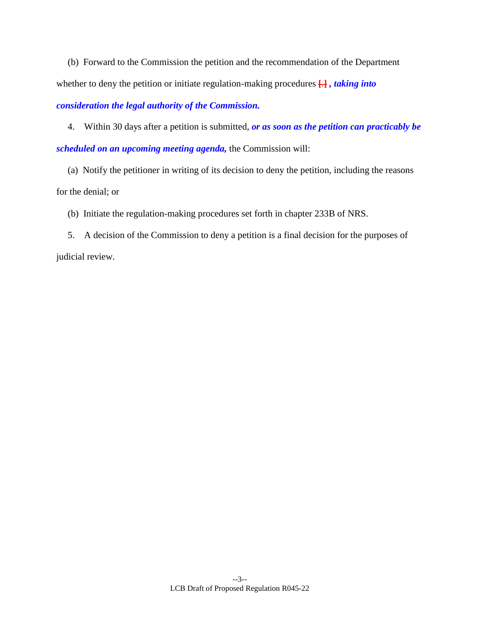(b) Forward to the Commission the petition and the recommendation of the Department whether to deny the petition or initiate regulation-making procedures **[**.**]** *, taking into* 

*consideration the legal authority of the Commission.*

4. Within 30 days after a petition is submitted, *or as soon as the petition can practicably be scheduled on an upcoming meeting agenda,* the Commission will:

(a) Notify the petitioner in writing of its decision to deny the petition, including the reasons for the denial; or

(b) Initiate the regulation-making procedures set forth in chapter 233B of NRS.

5. A decision of the Commission to deny a petition is a final decision for the purposes of judicial review.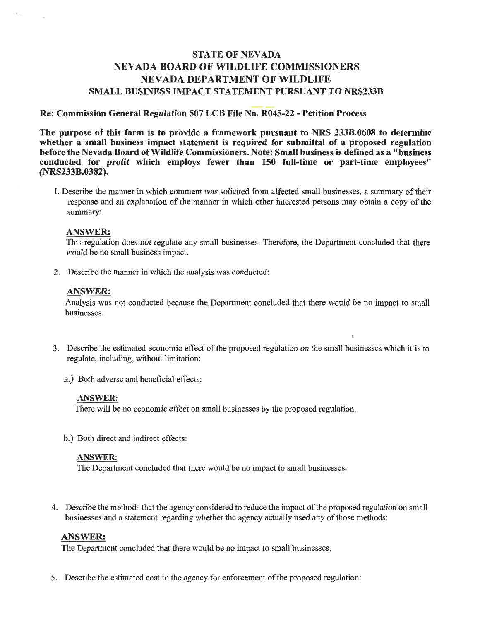# **STATE OF NEVADA NEVADA BOARD OF WILDLIFE COMMISSIONERS NEVADA DEPARTMENT OF WILDLIFE SMALL BUSINESS IMPACT STATEMENT PURSUANT TO NRS233B**

### Re: Commission General Regulation 507 LCB File No. R045-22 - Petition Process

The purpose of this form is to provide a framework pursuant to NRS 233B.0608 to determine whether a small business impact statement is required for submittal of a proposed regulation before the Nevada Board of Wildlife Commissioners. Note: Small business is defined as a "business" conducted for profit which employs fewer than 150 full-time or part-time employees" (NRS233B.0382).

I. Describe the manner in which comment was solicited from affected small businesses, a summary of their response and an explanation of the manner in which other interested persons may obtain a copy of the summary:

#### **ANSWER:**

This regulation does not regulate any small businesses. Therefore, the Department concluded that there would be no small business impact.

2. Describe the manner in which the analysis was conducted:

### **ANSWER:**

Analysis was not conducted because the Department concluded that there would be no impact to small businesses.

- 3. Describe the estimated economic effect of the proposed regulation on the small businesses which it is to regulate, including, without limitation:
	- a.) Both adverse and beneficial effects:

#### **ANSWER:**

There will be no economic effect on small businesses by the proposed regulation.

b.) Both direct and indirect effects:

### **ANSWER:**

The Department concluded that there would be no impact to small businesses.

4. Describe the methods that the agency considered to reduce the impact of the proposed regulation on small businesses and a statement regarding whether the agency actually used any of those methods:

### **ANSWER:**

The Department concluded that there would be no impact to small businesses.

5. Describe the estimated cost to the agency for enforcement of the proposed regulation: